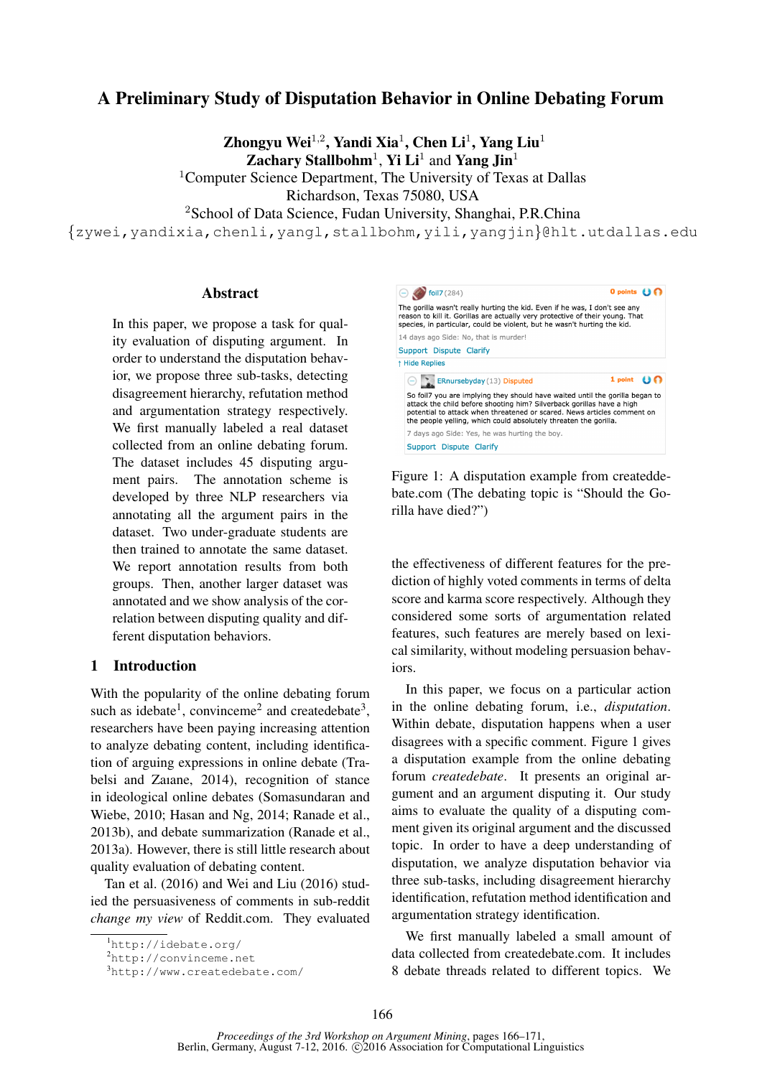# A Preliminary Study of Disputation Behavior in Online Debating Forum

Zhongyu Wei $^{1,2}$ , Yandi Xia $^1$ , Chen Li $^1$ , Yang Liu $^1$ Zachary Stallbohm<sup>1</sup>, Yi Li<sup>1</sup> and Yang Jin<sup>1</sup>

<sup>1</sup>Computer Science Department, The University of Texas at Dallas

Richardson, Texas 75080, USA

<sup>2</sup>School of Data Science, Fudan University, Shanghai, P.R.China

{zywei,yandixia,chenli,yangl,stallbohm,yili,yangjin}@hlt.utdallas.edu

#### Abstract

In this paper, we propose a task for quality evaluation of disputing argument. In order to understand the disputation behavior, we propose three sub-tasks, detecting disagreement hierarchy, refutation method and argumentation strategy respectively. We first manually labeled a real dataset collected from an online debating forum. The dataset includes 45 disputing argument pairs. The annotation scheme is developed by three NLP researchers via annotating all the argument pairs in the dataset. Two under-graduate students are then trained to annotate the same dataset. We report annotation results from both groups. Then, another larger dataset was annotated and we show analysis of the correlation between disputing quality and different disputation behaviors.

### 1 Introduction

With the popularity of the online debating forum such as idebate<sup>1</sup>, convinceme<sup>2</sup> and createdebate<sup>3</sup>, researchers have been paying increasing attention to analyze debating content, including identification of arguing expressions in online debate (Trabelsi and Zaıane, 2014), recognition of stance in ideological online debates (Somasundaran and Wiebe, 2010; Hasan and Ng, 2014; Ranade et al., 2013b), and debate summarization (Ranade et al., 2013a). However, there is still little research about quality evaluation of debating content.

Tan et al. (2016) and Wei and Liu (2016) studied the persuasiveness of comments in sub-reddit *change my view* of Reddit.com. They evaluated



Figure 1: A disputation example from createddebate.com (The debating topic is "Should the Gorilla have died?")

the effectiveness of different features for the prediction of highly voted comments in terms of delta score and karma score respectively. Although they considered some sorts of argumentation related features, such features are merely based on lexical similarity, without modeling persuasion behaviors.

In this paper, we focus on a particular action in the online debating forum, i.e., *disputation*. Within debate, disputation happens when a user disagrees with a specific comment. Figure 1 gives a disputation example from the online debating forum *createdebate*. It presents an original argument and an argument disputing it. Our study aims to evaluate the quality of a disputing comment given its original argument and the discussed topic. In order to have a deep understanding of disputation, we analyze disputation behavior via three sub-tasks, including disagreement hierarchy identification, refutation method identification and argumentation strategy identification.

We first manually labeled a small amount of data collected from createdebate.com. It includes 8 debate threads related to different topics. We

<sup>1</sup>http://idebate.org/

<sup>2</sup>http://convinceme.net

<sup>3</sup>http://www.createdebate.com/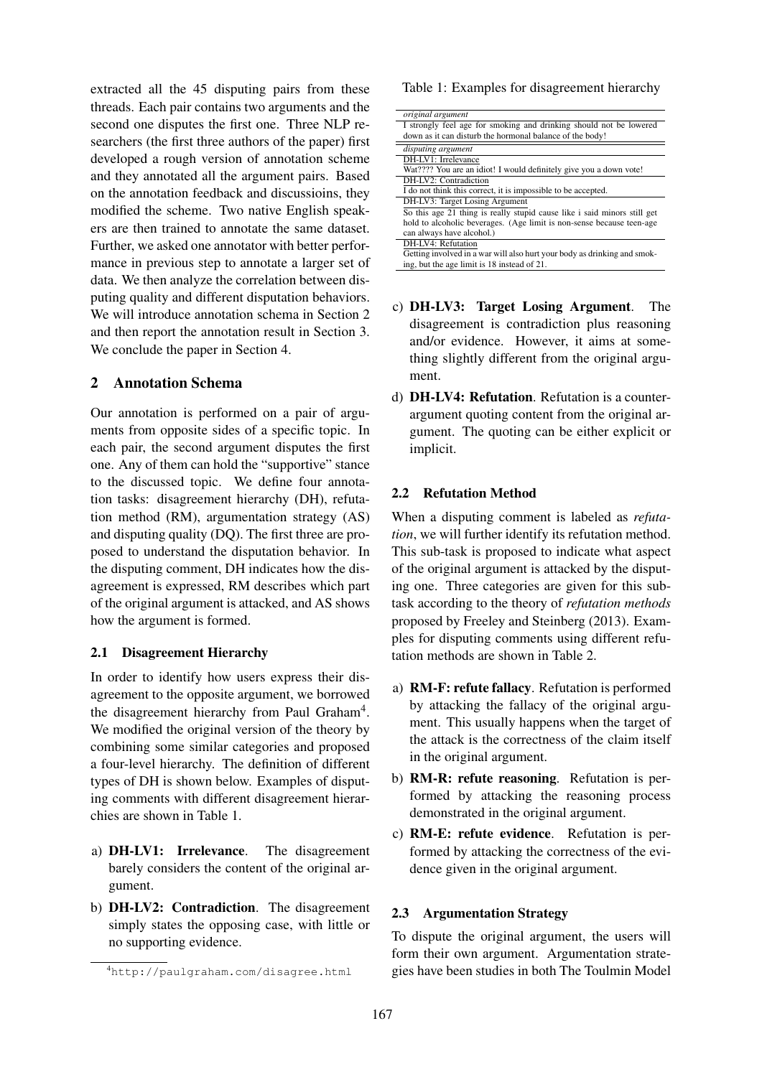extracted all the 45 disputing pairs from these threads. Each pair contains two arguments and the second one disputes the first one. Three NLP researchers (the first three authors of the paper) first developed a rough version of annotation scheme and they annotated all the argument pairs. Based on the annotation feedback and discussioins, they modified the scheme. Two native English speakers are then trained to annotate the same dataset. Further, we asked one annotator with better performance in previous step to annotate a larger set of data. We then analyze the correlation between disputing quality and different disputation behaviors. We will introduce annotation schema in Section 2 and then report the annotation result in Section 3. We conclude the paper in Section 4.

## 2 Annotation Schema

Our annotation is performed on a pair of arguments from opposite sides of a specific topic. In each pair, the second argument disputes the first one. Any of them can hold the "supportive" stance to the discussed topic. We define four annotation tasks: disagreement hierarchy (DH), refutation method (RM), argumentation strategy (AS) and disputing quality (DQ). The first three are proposed to understand the disputation behavior. In the disputing comment, DH indicates how the disagreement is expressed, RM describes which part of the original argument is attacked, and AS shows how the argument is formed.

### 2.1 Disagreement Hierarchy

In order to identify how users express their disagreement to the opposite argument, we borrowed the disagreement hierarchy from Paul Graham<sup>4</sup>. We modified the original version of the theory by combining some similar categories and proposed a four-level hierarchy. The definition of different types of DH is shown below. Examples of disputing comments with different disagreement hierarchies are shown in Table 1.

- a) DH-LV1: Irrelevance. The disagreement barely considers the content of the original argument.
- b) DH-LV2: Contradiction. The disagreement simply states the opposing case, with little or no supporting evidence.

#### Table 1: Examples for disagreement hierarchy

| original argument                                                        |
|--------------------------------------------------------------------------|
| I strongly feel age for smoking and drinking should not be lowered       |
| down as it can disturb the hormonal balance of the body!                 |
| disputing argument                                                       |
| DH-LV1: Irrelevance                                                      |
| Wat???? You are an idiot! I would definitely give you a down vote!       |
| DH-LV2: Contradiction                                                    |
| I do not think this correct, it is impossible to be accepted.            |
| DH-LV3: Target Losing Argument                                           |
| So this age 21 thing is really stupid cause like i said minors still get |
| hold to alcoholic beverages. (Age limit is non-sense because teen-age    |
| can always have alcohol.)                                                |
| DH-LV4: Refutation                                                       |
| Getting involved in a war will also hurt your body as drinking and smok- |
| ing, but the age limit is 18 instead of 21.                              |

- c) DH-LV3: Target Losing Argument. The disagreement is contradiction plus reasoning and/or evidence. However, it aims at something slightly different from the original argument.
- d) DH-LV4: Refutation. Refutation is a counterargument quoting content from the original argument. The quoting can be either explicit or implicit.

### 2.2 Refutation Method

When a disputing comment is labeled as *refutation*, we will further identify its refutation method. This sub-task is proposed to indicate what aspect of the original argument is attacked by the disputing one. Three categories are given for this subtask according to the theory of *refutation methods* proposed by Freeley and Steinberg (2013). Examples for disputing comments using different refutation methods are shown in Table 2.

- a) RM-F: refute fallacy. Refutation is performed by attacking the fallacy of the original argument. This usually happens when the target of the attack is the correctness of the claim itself in the original argument.
- b) RM-R: refute reasoning. Refutation is performed by attacking the reasoning process demonstrated in the original argument.
- c) RM-E: refute evidence. Refutation is performed by attacking the correctness of the evidence given in the original argument.

### 2.3 Argumentation Strategy

To dispute the original argument, the users will form their own argument. Argumentation strategies have been studies in both The Toulmin Model

<sup>4</sup>http://paulgraham.com/disagree.html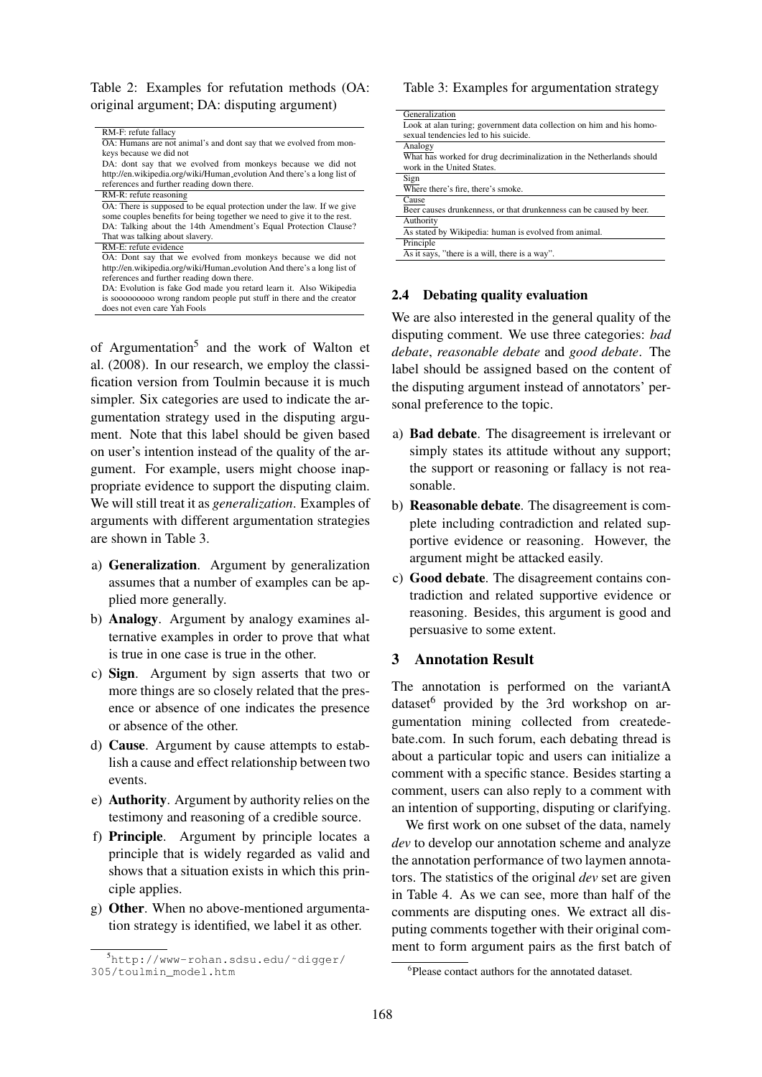Table 2: Examples for refutation methods (OA: original argument; DA: disputing argument)

|                                                                          | Lo                     |
|--------------------------------------------------------------------------|------------------------|
| RM-F: refute fallacy                                                     | sex                    |
| OA: Humans are not animal's and dont say that we evolved from mon-       | An                     |
| keys because we did not                                                  | WI                     |
| DA: dont say that we evolved from monkeys because we did not             | <b>WO</b>              |
| http://en.wikipedia.org/wiki/Human_evolution And there's a long list of  | Sig                    |
| references and further reading down there.                               | Wł                     |
| RM-R: refute reasoning                                                   | Ca                     |
| OA: There is supposed to be equal protection under the law. If we give   | Be                     |
| some couples benefits for being together we need to give it to the rest. | Au                     |
| DA: Talking about the 14th Amendment's Equal Protection Clause?          | As                     |
| That was talking about slavery.                                          |                        |
| RM-E: refute evidence                                                    | Pri<br>$\overline{As}$ |
| OA: Dont say that we evolved from monkeys because we did not             |                        |
| http://en.wikipedia.org/wiki/Human_evolution And there's a long list of  |                        |
| references and further reading down there.                               |                        |
| DA: Evolution is fake God made you retard learn it. Also Wikipedia       |                        |
| is sooooooooo wrong random people put stuff in there and the creator     |                        |

of Argumentation<sup>5</sup> and the work of Walton et al. (2008). In our research, we employ the classification version from Toulmin because it is much simpler. Six categories are used to indicate the argumentation strategy used in the disputing argument. Note that this label should be given based on user's intention instead of the quality of the argument. For example, users might choose inappropriate evidence to support the disputing claim. We will still treat it as *generalization*. Examples of arguments with different argumentation strategies are shown in Table 3.

does not even care Yah Fools

- a) Generalization. Argument by generalization assumes that a number of examples can be applied more generally.
- b) Analogy. Argument by analogy examines alternative examples in order to prove that what is true in one case is true in the other.
- c) Sign. Argument by sign asserts that two or more things are so closely related that the presence or absence of one indicates the presence or absence of the other.
- d) Cause. Argument by cause attempts to establish a cause and effect relationship between two events.
- e) Authority. Argument by authority relies on the testimony and reasoning of a credible source.
- f) Principle. Argument by principle locates a principle that is widely regarded as valid and shows that a situation exists in which this principle applies.
- g) Other. When no above-mentioned argumentation strategy is identified, we label it as other.

#### Table 3: Examples for argumentation strategy

| Generalization                                                       |
|----------------------------------------------------------------------|
| Look at alan turing; government data collection on him and his homo- |
| sexual tendencies led to his suicide.                                |
| Analogy                                                              |
| What has worked for drug decriminalization in the Netherlands should |
| work in the United States.                                           |
| Sign                                                                 |
| Where there's fire, there's smoke.                                   |
| Cause                                                                |
| Beer causes drunkenness, or that drunkenness can be caused by beer.  |
| Authority                                                            |
| As stated by Wikipedia: human is evolved from animal.                |
| Principle                                                            |
| As it says, "there is a will, there is a way".                       |
|                                                                      |

#### Debating quality evaluation

We are also interested in the general quality of the disputing comment. We use three categories: *bad debate*, *reasonable debate* and *good debate*. The label should be assigned based on the content of the disputing argument instead of annotators' personal preference to the topic.

- a) Bad debate. The disagreement is irrelevant or simply states its attitude without any support; the support or reasoning or fallacy is not reasonable.
- b) Reasonable debate. The disagreement is complete including contradiction and related supportive evidence or reasoning. However, the argument might be attacked easily.
- c) Good debate. The disagreement contains contradiction and related supportive evidence or reasoning. Besides, this argument is good and persuasive to some extent.

### 3 Annotation Result

The annotation is performed on the variantA dataset<sup>6</sup> provided by the 3rd workshop on argumentation mining collected from createdebate.com. In such forum, each debating thread is about a particular topic and users can initialize a comment with a specific stance. Besides starting a comment, users can also reply to a comment with an intention of supporting, disputing or clarifying.

We first work on one subset of the data, namely *dev* to develop our annotation scheme and analyze the annotation performance of two laymen annotators. The statistics of the original *dev* set are given in Table 4. As we can see, more than half of the comments are disputing ones. We extract all disputing comments together with their original comment to form argument pairs as the first batch of

<sup>5</sup>http://www-rohan.sdsu.edu/˜digger/ 305/toulmin\_model.htm

<sup>6</sup> Please contact authors for the annotated dataset.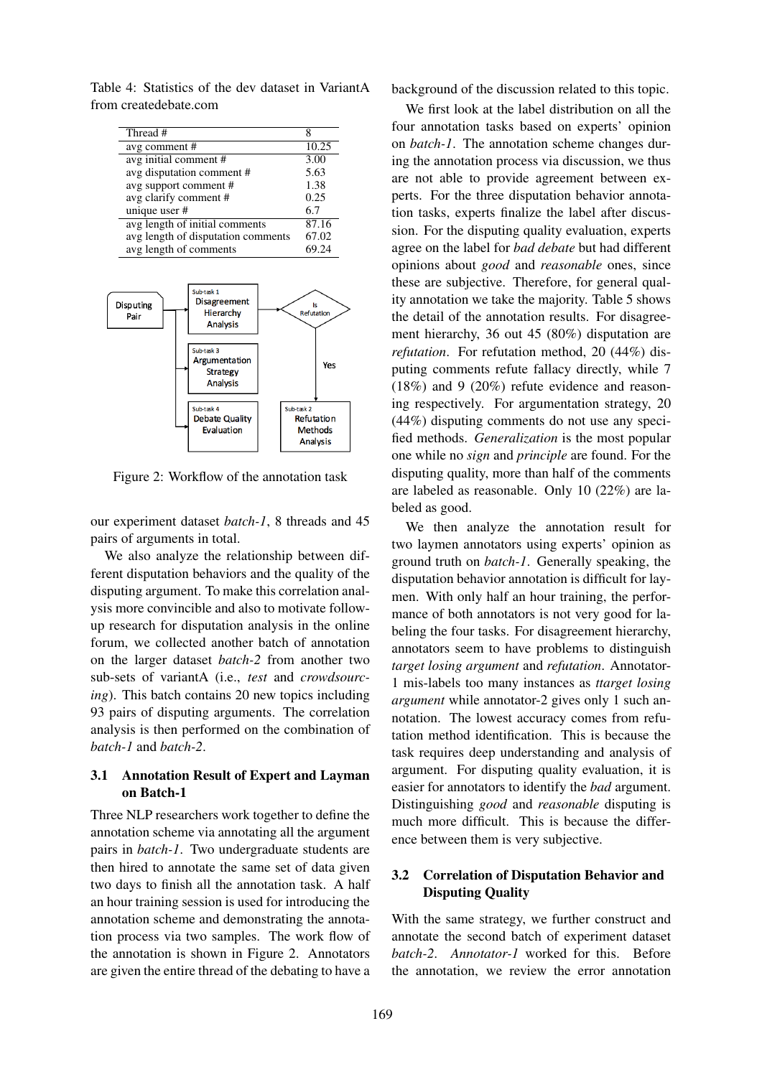Table 4: Statistics of the dev dataset in VariantA from createdebate.com

| Thread #                           | 8     |
|------------------------------------|-------|
| avg comment#                       | 10.25 |
| avg initial comment #              | 3.00  |
| avg disputation comment #          | 5.63  |
| avg support comment#               | 1.38  |
| avg clarify comment #              | 0.25  |
| unique user #                      | 6.7   |
| avg length of initial comments     | 87.16 |
| avg length of disputation comments | 67.02 |
| avg length of comments             | 69.24 |



Figure 2: Workflow of the annotation task

our experiment dataset *batch-1*, 8 threads and 45 pairs of arguments in total.

We also analyze the relationship between different disputation behaviors and the quality of the disputing argument. To make this correlation analysis more convincible and also to motivate followup research for disputation analysis in the online forum, we collected another batch of annotation on the larger dataset *batch-2* from another two sub-sets of variantA (i.e., *test* and *crowdsourcing*). This batch contains 20 new topics including 93 pairs of disputing arguments. The correlation analysis is then performed on the combination of *batch-1* and *batch-2*.

### 3.1 Annotation Result of Expert and Layman on Batch-1

Three NLP researchers work together to define the annotation scheme via annotating all the argument pairs in *batch-1*. Two undergraduate students are then hired to annotate the same set of data given two days to finish all the annotation task. A half an hour training session is used for introducing the annotation scheme and demonstrating the annotation process via two samples. The work flow of the annotation is shown in Figure 2. Annotators are given the entire thread of the debating to have a background of the discussion related to this topic.

We first look at the label distribution on all the four annotation tasks based on experts' opinion on *batch-1*. The annotation scheme changes during the annotation process via discussion, we thus are not able to provide agreement between experts. For the three disputation behavior annotation tasks, experts finalize the label after discussion. For the disputing quality evaluation, experts agree on the label for *bad debate* but had different opinions about *good* and *reasonable* ones, since these are subjective. Therefore, for general quality annotation we take the majority. Table 5 shows the detail of the annotation results. For disagreement hierarchy, 36 out 45 (80%) disputation are *refutation*. For refutation method, 20 (44%) disputing comments refute fallacy directly, while 7 (18%) and 9 (20%) refute evidence and reasoning respectively. For argumentation strategy, 20 (44%) disputing comments do not use any specified methods. *Generalization* is the most popular one while no *sign* and *principle* are found. For the disputing quality, more than half of the comments are labeled as reasonable. Only 10 (22%) are labeled as good.

We then analyze the annotation result for two laymen annotators using experts' opinion as ground truth on *batch-1*. Generally speaking, the disputation behavior annotation is difficult for laymen. With only half an hour training, the performance of both annotators is not very good for labeling the four tasks. For disagreement hierarchy, annotators seem to have problems to distinguish *target losing argument* and *refutation*. Annotator-1 mis-labels too many instances as *ttarget losing argument* while annotator-2 gives only 1 such annotation. The lowest accuracy comes from refutation method identification. This is because the task requires deep understanding and analysis of argument. For disputing quality evaluation, it is easier for annotators to identify the *bad* argument. Distinguishing *good* and *reasonable* disputing is much more difficult. This is because the difference between them is very subjective.

### 3.2 Correlation of Disputation Behavior and Disputing Quality

With the same strategy, we further construct and annotate the second batch of experiment dataset *batch-2*. *Annotator-1* worked for this. Before the annotation, we review the error annotation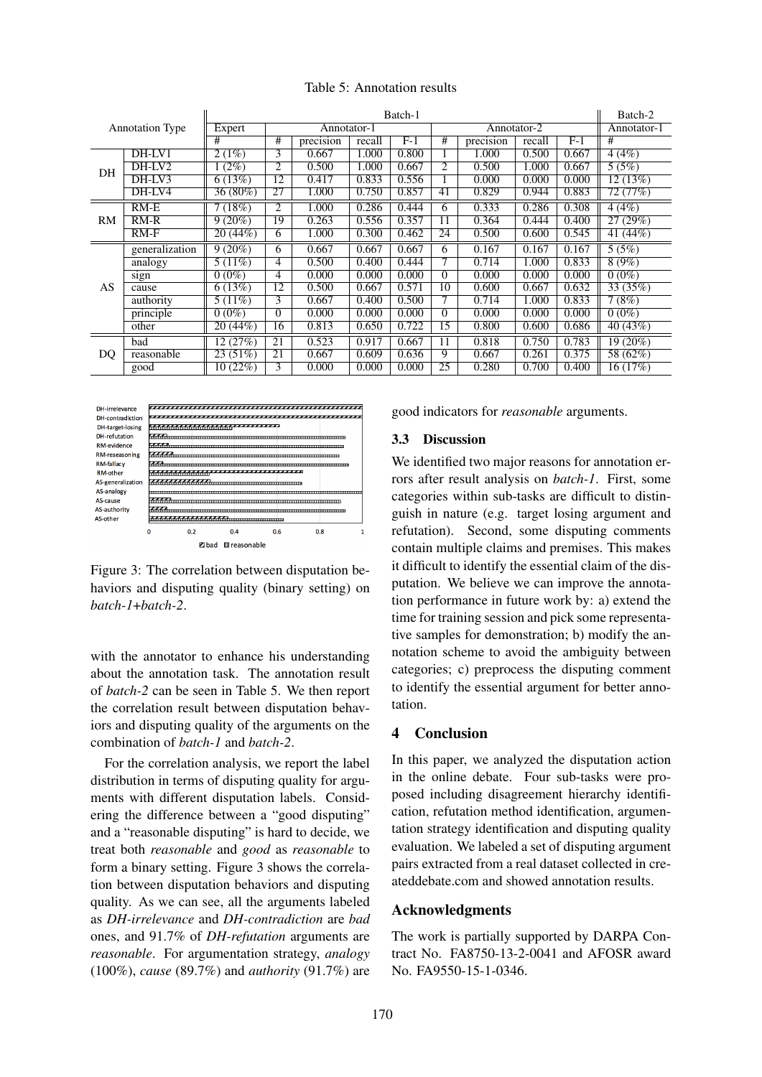|                        |                | Batch-1    |                 |           |        |       |                |           |        | Batch-2 |             |
|------------------------|----------------|------------|-----------------|-----------|--------|-------|----------------|-----------|--------|---------|-------------|
| <b>Annotation Type</b> |                | Expert     | Annotator-1     |           |        |       | Annotator-2    |           |        |         | Annotator-1 |
|                        |                | #          | #               | precision | recall | $F-1$ | #              | precision | recall | F-1     | #           |
| DH                     | DH-LV1         | 2(1%)      | 3               | 0.667     | 1.000  | 0.800 |                | 1.000     | 0.500  | 0.667   | 4(4%)       |
|                        | $DH-IV2$       | $(2\%)$    | 2               | 0.500     | 1.000  | 0.667 | $\overline{2}$ | 0.500     | 1.000  | 0.667   | 5(5%)       |
|                        | DH-LV3         | 6(13%)     | 12              | 0.417     | 0.833  | 0.556 |                | 0.000     | 0.000  | 0.000   | 12(13%)     |
|                        | DH-LV4         | $36(80\%)$ | 27              | 1.000     | 0.750  | 0.857 | 41             | 0.829     | 0.944  | 0.883   | 72 (77%)    |
| RM                     | $RM-E$         | 7(18%)     | $\overline{c}$  | 1.000     | 0.286  | 0.444 | 6              | 0.333     | 0.286  | 0.308   | 4(4%)       |
|                        | $RM-R$         | 9(20%)     | 19              | 0.263     | 0.556  | 0.357 | 11             | 0.364     | 0.444  | 0.400   | 27(29%)     |
|                        | $RM-F$         | 20(44%)    | 6               | 1.000     | 0.300  | 0.462 | 24             | 0.500     | 0.600  | 0.545   | 41 (44%)    |
| AS                     | generalization | $9(20\%)$  | 6               | 0.667     | 0.667  | 0.667 | 6              | 0.167     | 0.167  | 0.167   | 5(5%)       |
|                        | analogy        | 5 $(11\%)$ | 4               | 0.500     | 0.400  | 0.444 | 7              | 0.714     | 1.000  | 0.833   | 8(9%)       |
|                        | sign           | $0(0\%)$   | 4               | 0.000     | 0.000  | 0.000 | $\Omega$       | 0.000     | 0.000  | 0.000   | $0(0\%)$    |
|                        | cause          | 6(13%)     | 12              | 0.500     | 0.667  | 0.571 | 10             | 0.600     | 0.667  | 0.632   | 33 (35%)    |
|                        | authority      | 5(11%)     | 3               | 0.667     | 0.400  | 0.500 |                | 0.714     | 1.000  | 0.833   | 7(8%)       |
|                        | principle      | $0(0\%)$   | $\Omega$        | 0.000     | 0.000  | 0.000 | $\Omega$       | 0.000     | 0.000  | 0.000   | $0(0\%)$    |
|                        | other          | 20(44%)    | 16              | 0.813     | 0.650  | 0.722 | 15             | 0.800     | 0.600  | 0.686   | 40(43%)     |
| DQ                     | bad            | 12(27%)    | $\overline{21}$ | 0.523     | 0.917  | 0.667 | 11             | 0.818     | 0.750  | 0.783   | $19(20\%)$  |
|                        | reasonable     | 23(51%)    | 21              | 0.667     | 0.609  | 0.636 | 9              | 0.667     | 0.261  | 0.375   | 58 (62%)    |
|                        | good           | 10(22%)    | 3               | 0.000     | 0.000  | 0.000 | 25             | 0.280     | 0.700  | 0.400   | 16(17%)     |

#### Table 5: Annotation results



Figure 3: The correlation between disputation behaviors and disputing quality (binary setting) on *batch-1*+*batch-2*.

with the annotator to enhance his understanding about the annotation task. The annotation result of *batch-2* can be seen in Table 5. We then report the correlation result between disputation behaviors and disputing quality of the arguments on the combination of *batch-1* and *batch-2*.

For the correlation analysis, we report the label distribution in terms of disputing quality for arguments with different disputation labels. Considering the difference between a "good disputing" and a "reasonable disputing" is hard to decide, we treat both *reasonable* and *good* as *reasonable* to form a binary setting. Figure 3 shows the correlation between disputation behaviors and disputing quality. As we can see, all the arguments labeled as *DH-irrelevance* and *DH-contradiction* are *bad* ones, and 91.7% of *DH-refutation* arguments are *reasonable*. For argumentation strategy, *analogy* (100%), *cause* (89.7%) and *authority* (91.7%) are good indicators for *reasonable* arguments.

### 3.3 Discussion

We identified two major reasons for annotation errors after result analysis on *batch-1*. First, some categories within sub-tasks are difficult to distinguish in nature (e.g. target losing argument and refutation). Second, some disputing comments contain multiple claims and premises. This makes it difficult to identify the essential claim of the disputation. We believe we can improve the annotation performance in future work by: a) extend the time for training session and pick some representative samples for demonstration; b) modify the annotation scheme to avoid the ambiguity between categories; c) preprocess the disputing comment to identify the essential argument for better annotation.

### 4 Conclusion

In this paper, we analyzed the disputation action in the online debate. Four sub-tasks were proposed including disagreement hierarchy identification, refutation method identification, argumentation strategy identification and disputing quality evaluation. We labeled a set of disputing argument pairs extracted from a real dataset collected in createddebate.com and showed annotation results.

#### Acknowledgments

The work is partially supported by DARPA Contract No. FA8750-13-2-0041 and AFOSR award No. FA9550-15-1-0346.